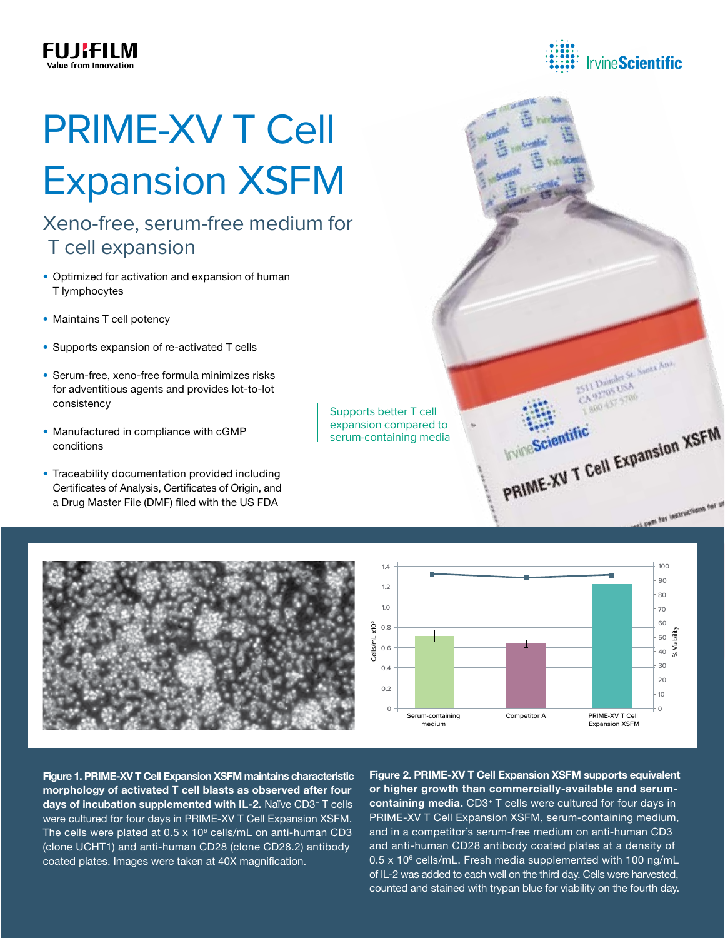# PRIME-XV T Cell Expansion XSFM

## Xeno-free, serum-free medium for T cell expansion

- Optimized for activation and expansion of human T lymphocytes
- Maintains T cell potency
- Supports expansion of re-activated T cells
- Serum-free, xeno-free formula minimizes risks for adventitious agents and provides lot-to-lot consistency
- Manufactured in compliance with cGMP conditions
- Traceability documentation provided including Certificates of Analysis, Certificates of Origin, and a Drug Master File (DMF) filed with the US FDA

Supports better T cell expansion compared to serum-containing media





Figure 1. PRIME-XV T Cell Expansion XSFM maintains characteristic morphology of activated T cell blasts as observed after four days of incubation supplemented with IL-2. Naïve CD3<sup>+</sup> T cells were cultured for four days in PRIME-XV T Cell Expansion XSFM. The cells were plated at  $0.5 \times 10^6$  cells/mL on anti-human CD3 (clone UCHT1) and anti-human CD28 (clone CD28.2) antibody coated plates. Images were taken at 40X magnification.

Figure 2. PRIME-XV T Cell Expansion XSFM supports equivalent or higher growth than commercially-available and serumcontaining media. CD3<sup>+</sup> T cells were cultured for four days in PRIME-XV T Cell Expansion XSFM, serum-containing medium, and in a competitor's serum-free medium on anti-human CD3 and anti-human CD28 antibody coated plates at a density of  $0.5 \times 10^6$  cells/mL. Fresh media supplemented with 100 ng/mL of IL-2 was added to each well on the third day. Cells were harvested, counted and stained with trypan blue for viability on the fourth day.



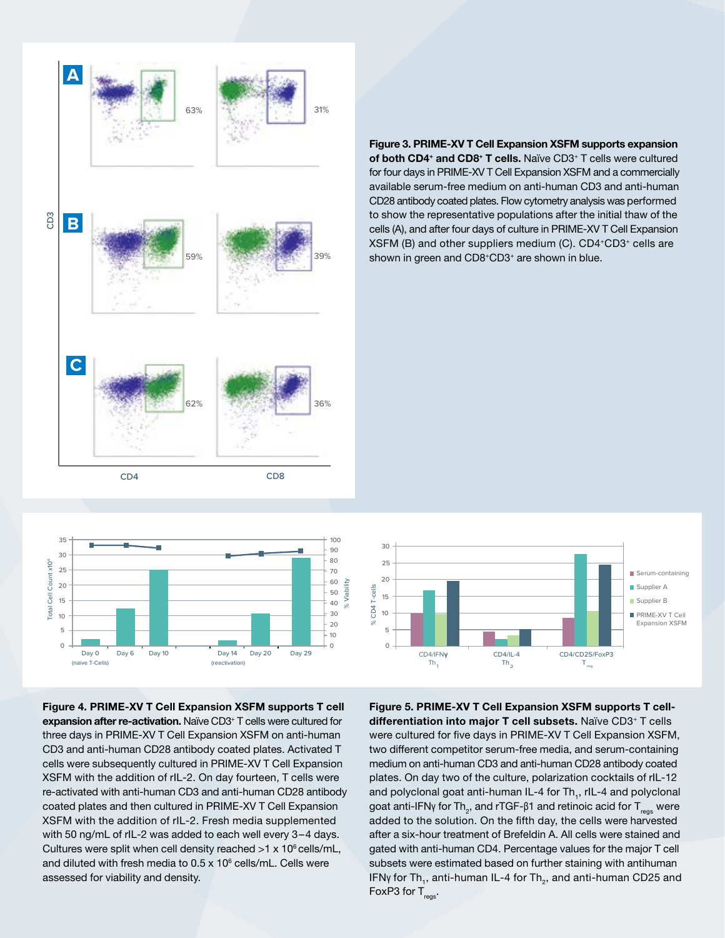



Figure 4. PRIME-XV T Cell Expansion XSFM supports T cell expansion after re-activation. Naïve CD3<sup>+</sup> T cells were cultured for three days in PRIME-XV T Cell Expansion XSFM on anti-human CD3 and anti-human CD28 antibody coated plates. Activated T **30** cells were subsequently cultured in PRIME-XV T Cell Expansion **25** XSFM with the addition of rIL-2. On day fourteen, T cells were **FBS 20** re-activated with anti-human CD3 and anti-human CD28 antibody coated plates and then cultured in PRIME-XV T Cell Expansion **15** XSFM with the addition of rIL-2. Fresh media supplemented **10** with 50 ng/mL of rIL-2 was added to each well every 3–4 days. **5** Cultures were split when cell density reached  $>1 \times 10^6$  cells/mL, and diluted with fresh media to 0.5 x 10<sup>6</sup> cells/mL. Cells were assessed for viability and density. re<br>C<br>X **Th1**  $\overline{I}$ **Th2 Letter College Treg**

#### Figure 3. PRIME-XV T Cell Expansion XSFM supports expansion of both CD4<sup>+</sup> and CD8<sup>+</sup> T cells. Naïve CD3<sup>+</sup> T cells were cultured for four days in PRIME-XV T Cell Expansion XSFM and a commercially available serum-free medium on anti-human CD3 and anti-human CD28 antibody coated plates. Flow cytometry analysis was performed to show the representative populations after the initial thaw of the cells (A), and after four days of culture in PRIME-XV T Cell Expansion XSFM (B) and other suppliers medium (C). CD4+CD3+ cells are shown in green and CD8+CD3+ are shown in blue.



Figure 5. PRIME-XV T Cell Expansion XSFM supports T celldifferentiation into major T cell subsets. Naïve CD3<sup>+</sup> T cells were cultured for five days in PRIME-XV T Cell Expansion XSFM, two different competitor serum-free media, and serum-containing medium on anti-human CD3 and anti-human CD28 antibody coated plates. On day two of the culture, polarization cocktails of rIL-12 dy and polyclonal goat anti-human IL-4 for Th<sub>1</sub>, rIL-4 and polyclonal ו goat anti-IFNγ for Th<sub>2</sub>, and rTGF-β1 and retinoic acid for T<sub>regs</sub> were I added to the solution. On the fifth day, the cells were harvested after a six-hour treatment of Brefeldin A. All cells were stained and gated with anti-human CD4. Percentage values for the major T cell subsets were estimated based on further staining with antihuman IFNγ for Th<sub>1</sub>, anti-human IL-4 for Th<sub>2</sub>, and anti-human CD25 and FoxP3 for  $T_{\text{rens}}$ .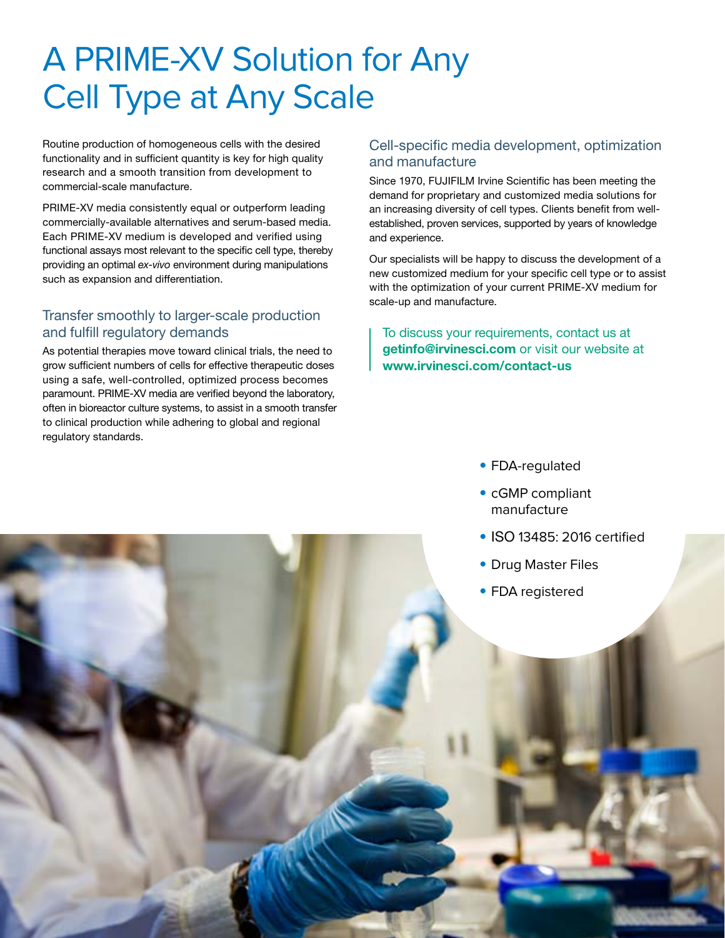## A PRIME-XV Solution for Any Cell Type at Any Scale

Routine production of homogeneous cells with the desired functionality and in sufficient quantity is key for high quality research and a smooth transition from development to commercial-scale manufacture.

PRIME-XV media consistently equal or outperform leading commercially-available alternatives and serum-based media. Each PRIME-XV medium is developed and verified using functional assays most relevant to the specific cell type, thereby providing an optimal *ex-vivo* environment during manipulations such as expansion and differentiation.

#### Transfer smoothly to larger-scale production and fulfill regulatory demands

As potential therapies move toward clinical trials, the need to grow sufficient numbers of cells for effective therapeutic doses using a safe, well-controlled, optimized process becomes paramount. PRIME-XV media are verified beyond the laboratory, often in bioreactor culture systems, to assist in a smooth transfer to clinical production while adhering to global and regional regulatory standards.

#### Cell-specific media development, optimization and manufacture

Since 1970, FUJIFILM Irvine Scientific has been meeting the demand for proprietary and customized media solutions for an increasing diversity of cell types. Clients benefit from wellestablished, proven services, supported by years of knowledge and experience.

Our specialists will be happy to discuss the development of a new customized medium for your specific cell type or to assist with the optimization of your current PRIME-XV medium for scale-up and manufacture.

To discuss your requirements, contact us at getinfo@irvinesci.com or visit our website at www.irvinesci.com/contact-us

- FDA-regulated
- cGMP compliant manufacture
- ISO 13485: 2016 certified
- Drug Master Files
- FDA registered